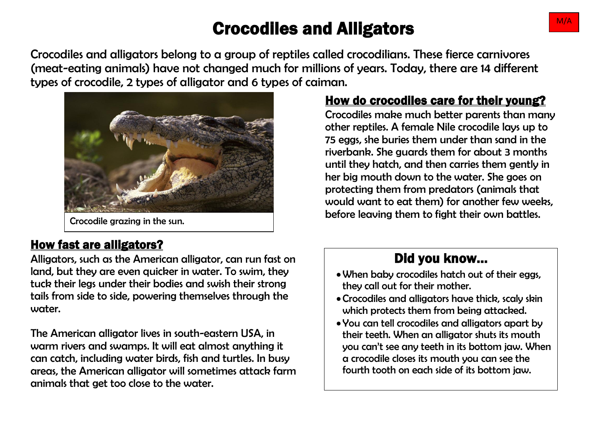# Crocodiles and Alligators  $\blacksquare$

Crocodiles and alligators belong to a group of reptiles called crocodilians. These fierce carnivores (meat-eating animals) have not changed much for millions of years. Today, there are 14 different types of crocodile, 2 types of alligator and 6 types of caiman.



#### How fast are alligators?

Alligators, such as the American alligator, can run fast on land, but they are even quicker in water. To swim, they tuck their legs under their bodies and swish their strong tails from side to side, powering themselves through the water.

The American alligator lives in south-eastern USA, in warm rivers and swamps. It will eat almost anything it can catch, including water birds, fish and turtles. In busy areas, the American alligator will sometimes attack farm animals that get too close to the water.

#### How do crocodiles care for their young?

Crocodiles make much better parents than many other reptiles. A female Nile crocodile lays up to 75 eggs, she buries them under than sand in the riverbank. She guards them for about 3 months until they hatch, and then carries them gently in her big mouth down to the water. She goes on protecting them from predators (animals that would want to eat them) for another few weeks, before leaving them to fight their own battles. Crocodile grazing in the sun.

## Did you know…

- When baby crocodiles hatch out of their eggs, they call out for their mother.
- Crocodiles and alligators have thick, scaly skin which protects them from being attacked.
- You can tell crocodiles and alligators apart by their teeth. When an alligator shuts its mouth you can't see any teeth in its bottom jaw. When a crocodile closes its mouth you can see the fourth tooth on each side of its bottom jaw.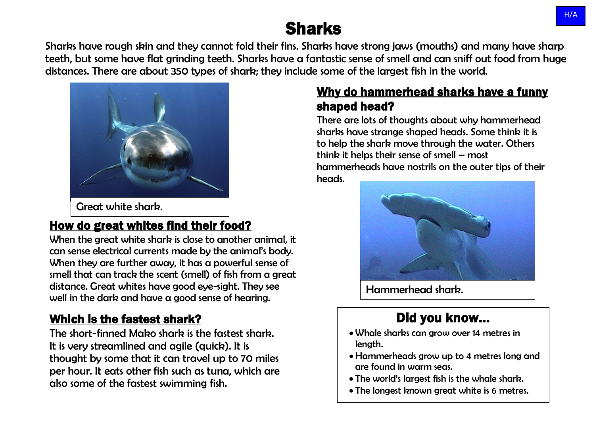# Sharks

Sharks have rough skin and they cannot fold their fins. Sharks have strong jaws (mouths) and many have sharp teeth, but some have flat grinding teeth. Sharks have a fantastic sense of smell and can sniff out food from huge distances. There are about 350 types of shark; they include some of the largest fish in the world.



Great white shark.

#### How do great whites find their food?

When the great white shark is close to another animal, it can sense electrical currents made by the animal's body. When they are further away, it has a powerful sense of smell that can track the scent (smell) of fish from a great distance. Great whites have good eye-sight. They see well in the dark and have a good sense of hearing.

#### Which is the fastest shark?

The short-finned Mako shark is the fastest shark. It is very streamlined and agile (quick). It is thought by some that it can travel up to 70 miles per hour. It eats other fish such as tuna, which are also some of the fastest swimming fish.

#### Why do hammerhead sharks have a funny shaped head?

There are lots of thoughts about why hammerhead sharks have strange shaped heads. Some think it is to help the shark move through the water. Others think it helps their sense of smell – most hammerheads have nostrils on the outer tips of their heads.



Hammerhead shark.

## Did you know…

- Whale sharks can grow over 14 metres in length.
- Hammerheads grow up to 4 metres long and are found in warm seas.
- The world's largest fish is the whale shark.
- The longest known great white is 6 metres.